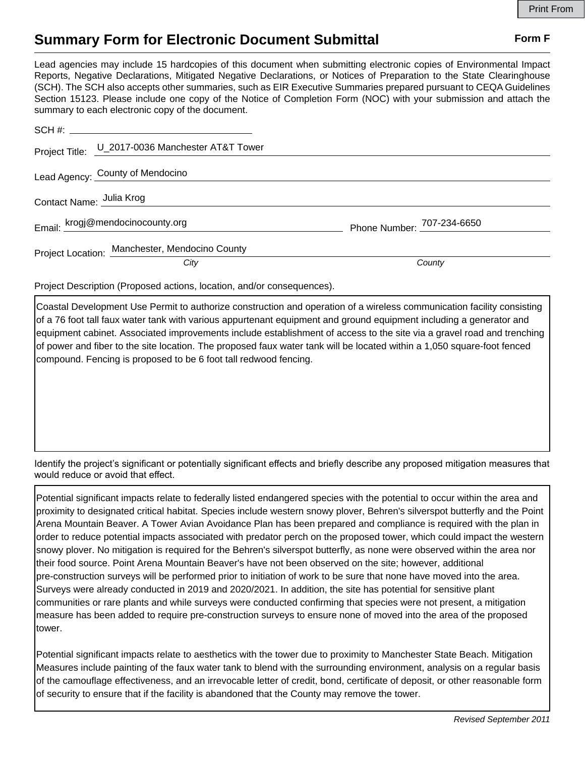## **Summary Form for Electronic Document Submittal Form F Form F**

Lead agencies may include 15 hardcopies of this document when submitting electronic copies of Environmental Impact Reports, Negative Declarations, Mitigated Negative Declarations, or Notices of Preparation to the State Clearinghouse (SCH). The SCH also accepts other summaries, such as EIR Executive Summaries prepared pursuant to CEQA Guidelines Section 15123. Please include one copy of the Notice of Completion Form (NOC) with your submission and attach the summary to each electronic copy of the document.

|                          | Project Title: U_2017-0036 Manchester AT&T Tower |                            |
|--------------------------|--------------------------------------------------|----------------------------|
|                          | Lead Agency: County of Mendocino                 |                            |
| Contact Name: Julia Krog |                                                  |                            |
|                          | Email: krogj@mendocinocounty.org                 | Phone Number: 707-234-6650 |
|                          | Project Location: Manchester, Mendocino County   |                            |
|                          | City                                             | County                     |

Project Description (Proposed actions, location, and/or consequences).

Coastal Development Use Permit to authorize construction and operation of a wireless communication facility consisting of a 76 foot tall faux water tank with various appurtenant equipment and ground equipment including a generator and equipment cabinet. Associated improvements include establishment of access to the site via a gravel road and trenching of power and fiber to the site location. The proposed faux water tank will be located within a 1,050 square-foot fenced compound. Fencing is proposed to be 6 foot tall redwood fencing.

Identify the project's significant or potentially significant effects and briefly describe any proposed mitigation measures that would reduce or avoid that effect.

Potential significant impacts relate to federally listed endangered species with the potential to occur within the area and proximity to designated critical habitat. Species include western snowy plover, Behren's silverspot butterfly and the Point Arena Mountain Beaver. A Tower Avian Avoidance Plan has been prepared and compliance is required with the plan in order to reduce potential impacts associated with predator perch on the proposed tower, which could impact the western snowy plover. No mitigation is required for the Behren's silverspot butterfly, as none were observed within the area nor their food source. Point Arena Mountain Beaver's have not been observed on the site; however, additional pre-construction surveys will be performed prior to initiation of work to be sure that none have moved into the area. Surveys were already conducted in 2019 and 2020/2021. In addition, the site has potential for sensitive plant communities or rare plants and while surveys were conducted confirming that species were not present, a mitigation measure has been added to require pre-construction surveys to ensure none of moved into the area of the proposed tower.

Potential significant impacts relate to aesthetics with the tower due to proximity to Manchester State Beach. Mitigation Measures include painting of the faux water tank to blend with the surrounding environment, analysis on a regular basis of the camouflage effectiveness, and an irrevocable letter of credit, bond, certificate of deposit, or other reasonable form of security to ensure that if the facility is abandoned that the County may remove the tower.